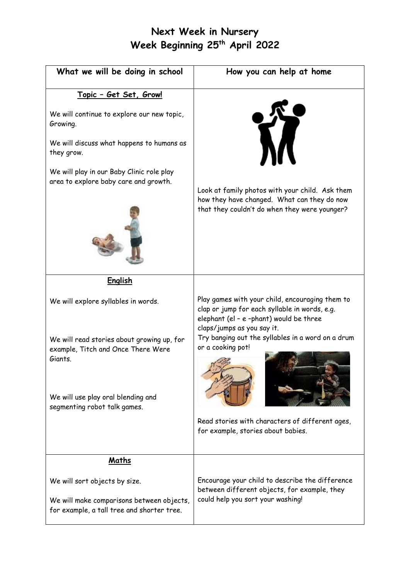## **Next Week in Nursery Week Beginning 25 th April 2022**

| What we will be doing in school                                                                     | How you can help at home                                                                                                                                                  |
|-----------------------------------------------------------------------------------------------------|---------------------------------------------------------------------------------------------------------------------------------------------------------------------------|
| Topic - Get Set, Grow!                                                                              |                                                                                                                                                                           |
| We will continue to explore our new topic,<br>Growing.<br>We will discuss what happens to humans as | <b>TV</b>                                                                                                                                                                 |
| they grow.                                                                                          |                                                                                                                                                                           |
| We will play in our Baby Clinic role play<br>area to explore baby care and growth.                  | Look at family photos with your child. Ask them<br>how they have changed. What can they do now<br>that they couldn't do when they were younger?                           |
| English                                                                                             |                                                                                                                                                                           |
| We will explore syllables in words.                                                                 | Play games with your child, encouraging them to<br>clap or jump for each syllable in words, e.g.<br>elephant (el - e -phant) would be three<br>claps/jumps as you say it. |
| We will read stories about growing up, for<br>example, Titch and Once There Were<br>Giants.         | Try banging out the syllables in a word on a drum<br>or a cooking pot!                                                                                                    |
| We will use play oral blending and<br>segmenting robot talk games.                                  |                                                                                                                                                                           |
|                                                                                                     | Read stories with characters of different ages,<br>for example, stories about babies.                                                                                     |
| Maths                                                                                               |                                                                                                                                                                           |
| We will sort objects by size.                                                                       | Encourage your child to describe the difference<br>between different objects, for example, they                                                                           |
| We will make comparisons between objects,<br>for example, a tall tree and shorter tree.             | could help you sort your washing!                                                                                                                                         |